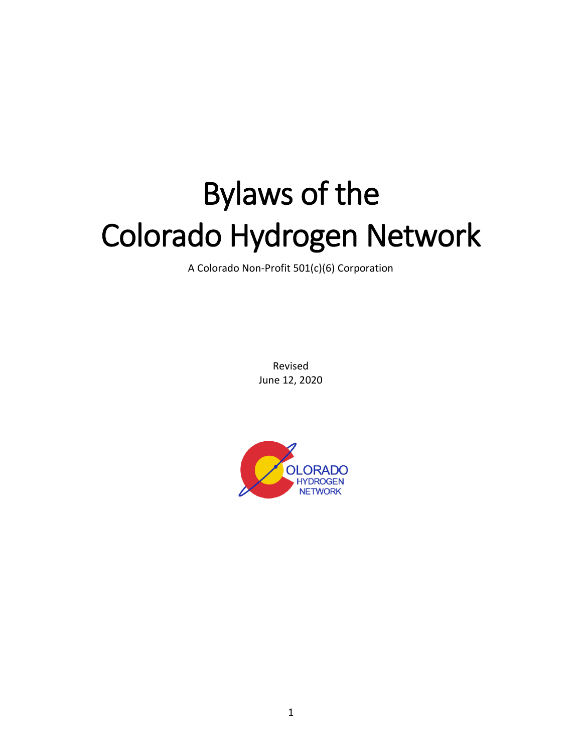# Bylaws of the Colorado Hydrogen Network

A Colorado Non-Profit 501(c)(6) Corporation

Revised June 12, 2020

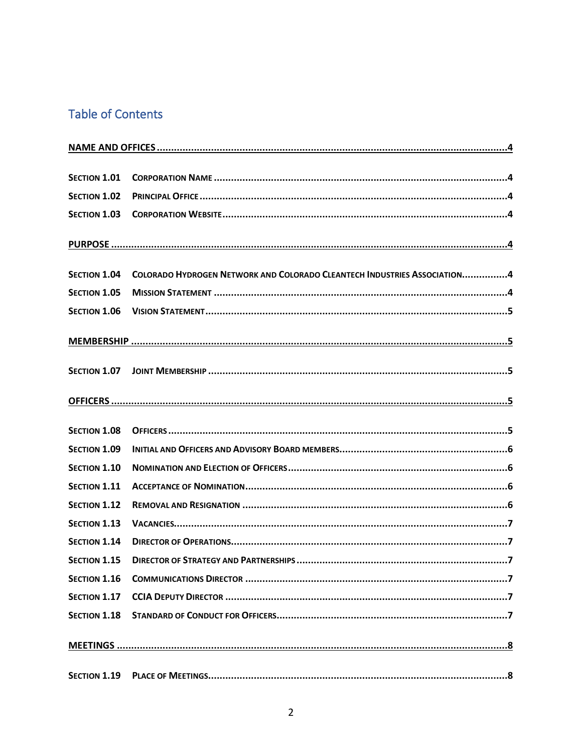# **Table of Contents**

| SECTION 1.01        |                                                                          |  |
|---------------------|--------------------------------------------------------------------------|--|
| <b>SECTION 1.02</b> |                                                                          |  |
| <b>SECTION 1.03</b> |                                                                          |  |
|                     |                                                                          |  |
| <b>SECTION 1.04</b> | COLORADO HYDROGEN NETWORK AND COLORADO CLEANTECH INDUSTRIES ASSOCIATION4 |  |
| <b>SECTION 1.05</b> |                                                                          |  |
| <b>SECTION 1.06</b> |                                                                          |  |
|                     |                                                                          |  |
| SECTION 1.07        |                                                                          |  |
|                     |                                                                          |  |
| <b>SECTION 1.08</b> |                                                                          |  |
| <b>SECTION 1.09</b> |                                                                          |  |
| <b>SECTION 1.10</b> |                                                                          |  |
| <b>SECTION 1.11</b> |                                                                          |  |
| <b>SECTION 1.12</b> |                                                                          |  |
| <b>SECTION 1.13</b> |                                                                          |  |
| <b>SECTION 1.14</b> |                                                                          |  |
| <b>SECTION 1.15</b> |                                                                          |  |
| <b>SECTION 1.16</b> |                                                                          |  |
| <b>SECTION 1.17</b> |                                                                          |  |
| <b>SECTION 1.18</b> |                                                                          |  |
|                     |                                                                          |  |
| <b>SECTION 1.19</b> |                                                                          |  |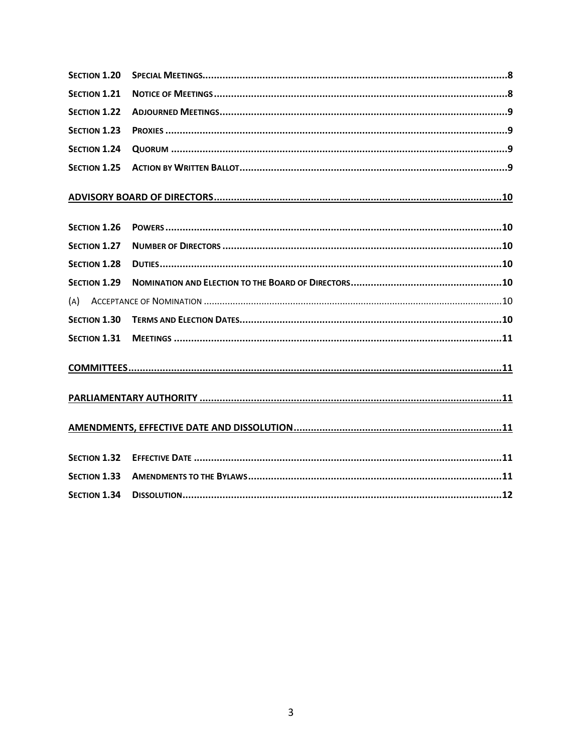| <b>SECTION 1.20</b> |  |  |
|---------------------|--|--|
| <b>SECTION 1.21</b> |  |  |
| <b>SECTION 1.22</b> |  |  |
| <b>SECTION 1.23</b> |  |  |
| <b>SECTION 1.24</b> |  |  |
| <b>SECTION 1.25</b> |  |  |
|                     |  |  |
| <b>SECTION 1.26</b> |  |  |
| <b>SECTION 1.27</b> |  |  |
| <b>SECTION 1.28</b> |  |  |
| <b>SECTION 1.29</b> |  |  |
| (A)                 |  |  |
| <b>SECTION 1.30</b> |  |  |
| <b>SECTION 1.31</b> |  |  |
|                     |  |  |
|                     |  |  |
|                     |  |  |
| <b>SECTION 1.32</b> |  |  |
| <b>SECTION 1.33</b> |  |  |
| <b>SECTION 1.34</b> |  |  |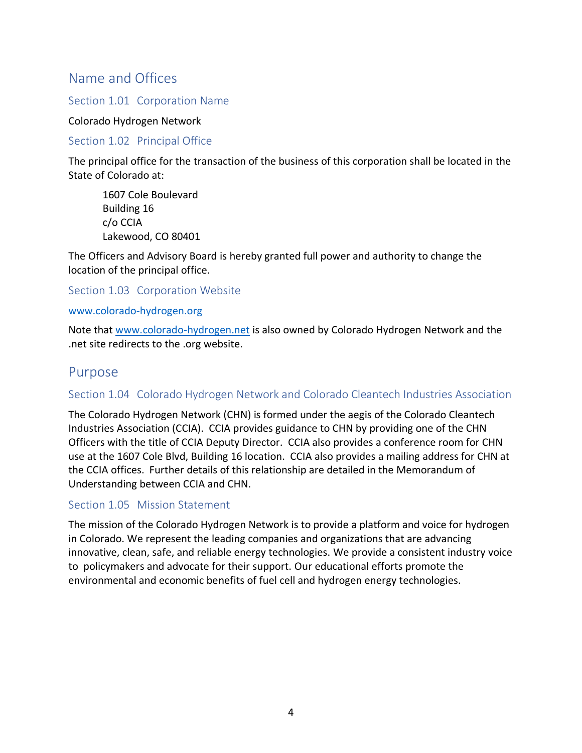# <span id="page-3-0"></span>Name and Offices

## <span id="page-3-1"></span>Section 1.01 Corporation Name

#### Colorado Hydrogen Network

## <span id="page-3-2"></span>Section 1.02 Principal Office

The principal office for the transaction of the business of this corporation shall be located in the State of Colorado at:

1607 Cole Boulevard Building 16 c/o CCIA Lakewood, CO 80401

The Officers and Advisory Board is hereby granted full power and authority to change the location of the principal office.

## <span id="page-3-3"></span>Section 1.03 Corporation Website

#### [www.colorado-hydrogen.org](http://www.colorado-hydrogen.org/)

Note that [www.colorado-hydrogen.net](http://www.colorado-hydrogen.net/) is also owned by Colorado Hydrogen Network and the .net site redirects to the .org website.

## <span id="page-3-4"></span>Purpose

## <span id="page-3-5"></span>Section 1.04 Colorado Hydrogen Network and Colorado Cleantech Industries Association

The Colorado Hydrogen Network (CHN) is formed under the aegis of the Colorado Cleantech Industries Association (CCIA). CCIA provides guidance to CHN by providing one of the CHN Officers with the title of CCIA Deputy Director. CCIA also provides a conference room for CHN use at the 1607 Cole Blvd, Building 16 location. CCIA also provides a mailing address for CHN at the CCIA offices. Further details of this relationship are detailed in the Memorandum of Understanding between CCIA and CHN.

#### <span id="page-3-6"></span>Section 1.05 Mission Statement

The mission of the Colorado Hydrogen Network is to provide a platform and voice for hydrogen in Colorado. We represent the leading companies and organizations that are advancing innovative, clean, safe, and reliable energy technologies. We provide a consistent industry voice to policymakers and advocate for their support. Our educational efforts promote the environmental and economic benefits of fuel cell and hydrogen energy technologies.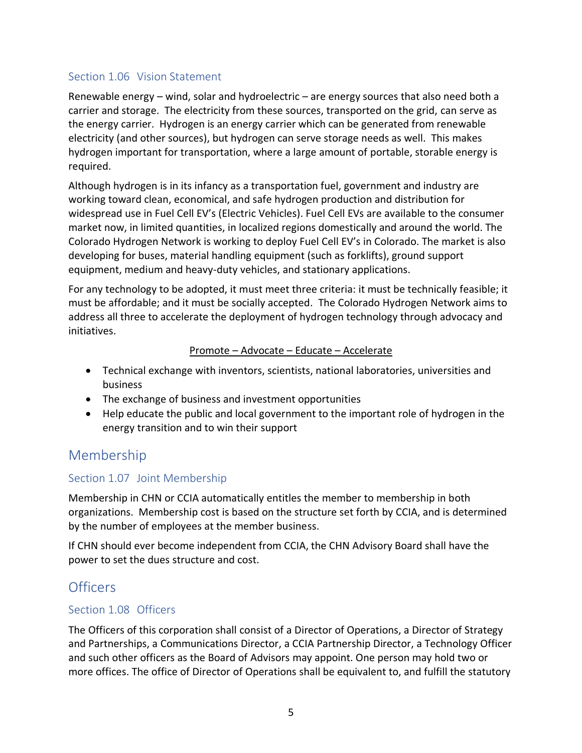## <span id="page-4-0"></span>Section 1.06 Vision Statement

Renewable energy – wind, solar and hydroelectric – are energy sources that also need both a carrier and storage. The electricity from these sources, transported on the grid, can serve as the energy carrier. Hydrogen is an energy carrier which can be generated from renewable electricity (and other sources), but hydrogen can serve storage needs as well. This makes hydrogen important for transportation, where a large amount of portable, storable energy is required.

Although hydrogen is in its infancy as a transportation fuel, government and industry are working toward clean, economical, and safe hydrogen production and distribution for widespread use in Fuel Cell EV's (Electric Vehicles). Fuel Cell EVs are available to the consumer market now, in limited quantities, in localized regions domestically and around the world. The Colorado Hydrogen Network is working to deploy Fuel Cell EV's in Colorado. The market is also developing for buses, material handling equipment (such as forklifts), ground support equipment, medium and heavy-duty vehicles, and stationary applications.

For any technology to be adopted, it must meet three criteria: it must be technically feasible; it must be affordable; and it must be socially accepted. The Colorado Hydrogen Network aims to address all three to accelerate the deployment of hydrogen technology through advocacy and initiatives.

#### Promote – Advocate – Educate – Accelerate

- Technical exchange with inventors, scientists, national laboratories, universities and business
- The exchange of business and investment opportunities
- Help educate the public and local government to the important role of hydrogen in the energy transition and to win their support

# <span id="page-4-1"></span>Membership

## <span id="page-4-2"></span>Section 1.07 Joint Membership

Membership in CHN or CCIA automatically entitles the member to membership in both organizations. Membership cost is based on the structure set forth by CCIA, and is determined by the number of employees at the member business.

If CHN should ever become independent from CCIA, the CHN Advisory Board shall have the power to set the dues structure and cost.

# <span id="page-4-3"></span>**Officers**

## <span id="page-4-4"></span>Section 1.08 Officers

The Officers of this corporation shall consist of a Director of Operations, a Director of Strategy and Partnerships, a Communications Director, a CCIA Partnership Director, a Technology Officer and such other officers as the Board of Advisors may appoint. One person may hold two or more offices. The office of Director of Operations shall be equivalent to, and fulfill the statutory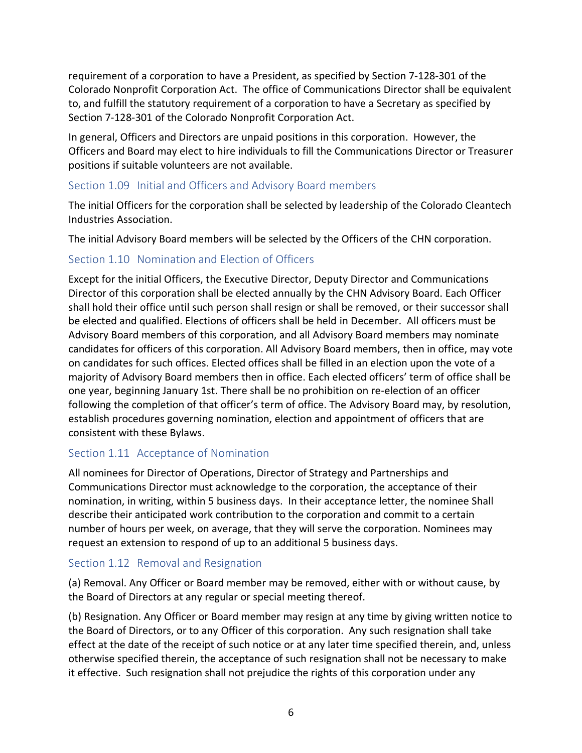requirement of a corporation to have a President, as specified by Section 7-128-301 of the Colorado Nonprofit Corporation Act. The office of Communications Director shall be equivalent to, and fulfill the statutory requirement of a corporation to have a Secretary as specified by Section 7-128-301 of the Colorado Nonprofit Corporation Act.

In general, Officers and Directors are unpaid positions in this corporation. However, the Officers and Board may elect to hire individuals to fill the Communications Director or Treasurer positions if suitable volunteers are not available.

## <span id="page-5-0"></span>Section 1.09 Initial and Officers and Advisory Board members

The initial Officers for the corporation shall be selected by leadership of the Colorado Cleantech Industries Association.

The initial Advisory Board members will be selected by the Officers of the CHN corporation.

## <span id="page-5-1"></span>Section 1.10 Nomination and Election of Officers

Except for the initial Officers, the Executive Director, Deputy Director and Communications Director of this corporation shall be elected annually by the CHN Advisory Board. Each Officer shall hold their office until such person shall resign or shall be removed, or their successor shall be elected and qualified. Elections of officers shall be held in December. All officers must be Advisory Board members of this corporation, and all Advisory Board members may nominate candidates for officers of this corporation. All Advisory Board members, then in office, may vote on candidates for such offices. Elected offices shall be filled in an election upon the vote of a majority of Advisory Board members then in office. Each elected officers' term of office shall be one year, beginning January 1st. There shall be no prohibition on re-election of an officer following the completion of that officer's term of office. The Advisory Board may, by resolution, establish procedures governing nomination, election and appointment of officers that are consistent with these Bylaws.

## <span id="page-5-2"></span>Section 1.11 Acceptance of Nomination

All nominees for Director of Operations, Director of Strategy and Partnerships and Communications Director must acknowledge to the corporation, the acceptance of their nomination, in writing, within 5 business days. In their acceptance letter, the nominee Shall describe their anticipated work contribution to the corporation and commit to a certain number of hours per week, on average, that they will serve the corporation. Nominees may request an extension to respond of up to an additional 5 business days.

## <span id="page-5-3"></span>Section 1.12 Removal and Resignation

(a) Removal. Any Officer or Board member may be removed, either with or without cause, by the Board of Directors at any regular or special meeting thereof.

(b) Resignation. Any Officer or Board member may resign at any time by giving written notice to the Board of Directors, or to any Officer of this corporation. Any such resignation shall take effect at the date of the receipt of such notice or at any later time specified therein, and, unless otherwise specified therein, the acceptance of such resignation shall not be necessary to make it effective. Such resignation shall not prejudice the rights of this corporation under any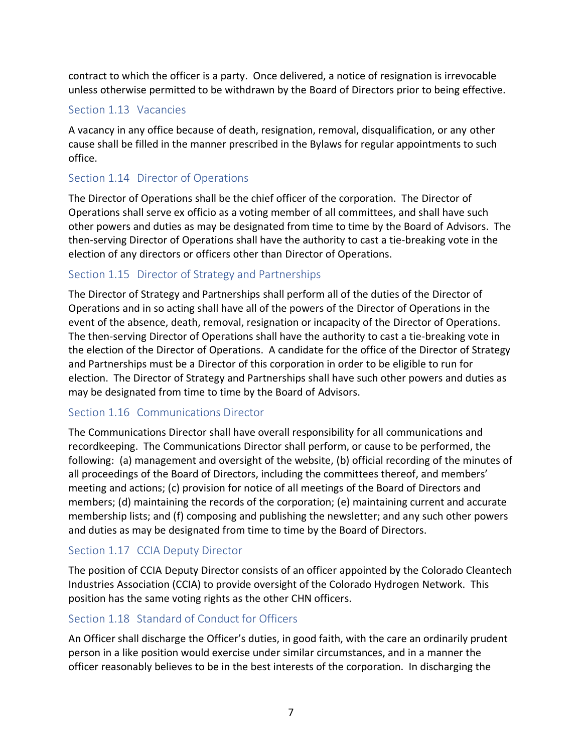contract to which the officer is a party. Once delivered, a notice of resignation is irrevocable unless otherwise permitted to be withdrawn by the Board of Directors prior to being effective.

## <span id="page-6-0"></span>Section 1.13 Vacancies

A vacancy in any office because of death, resignation, removal, disqualification, or any other cause shall be filled in the manner prescribed in the Bylaws for regular appointments to such office.

## <span id="page-6-1"></span>Section 1.14 Director of Operations

The Director of Operations shall be the chief officer of the corporation. The Director of Operations shall serve ex officio as a voting member of all committees, and shall have such other powers and duties as may be designated from time to time by the Board of Advisors. The then-serving Director of Operations shall have the authority to cast a tie-breaking vote in the election of any directors or officers other than Director of Operations.

## <span id="page-6-2"></span>Section 1.15 Director of Strategy and Partnerships

The Director of Strategy and Partnerships shall perform all of the duties of the Director of Operations and in so acting shall have all of the powers of the Director of Operations in the event of the absence, death, removal, resignation or incapacity of the Director of Operations. The then-serving Director of Operations shall have the authority to cast a tie-breaking vote in the election of the Director of Operations. A candidate for the office of the Director of Strategy and Partnerships must be a Director of this corporation in order to be eligible to run for election. The Director of Strategy and Partnerships shall have such other powers and duties as may be designated from time to time by the Board of Advisors.

## <span id="page-6-3"></span>Section 1.16 Communications Director

<span id="page-6-6"></span>The Communications Director shall have overall responsibility for all communications and recordkeeping. The Communications Director shall perform, or cause to be performed, the following: (a) management and oversight of the website, (b) official recording of the minutes of all proceedings of the Board of Directors, including the committees thereof, and members' meeting and actions; (c) provision for notice of all meetings of the Board of Directors and members; (d) maintaining the records of the corporation; (e) maintaining current and accurate membership lists; and (f) composing and publishing the newsletter; and any such other powers and duties as may be designated from time to time by the Board of Directors.

## <span id="page-6-4"></span>Section 1.17 CCIA Deputy Director

The position of CCIA Deputy Director consists of an officer appointed by the Colorado Cleantech Industries Association (CCIA) to provide oversight of the Colorado Hydrogen Network. This position has the same voting rights as the other CHN officers.

## <span id="page-6-5"></span>Section 1.18 Standard of Conduct for Officers

An Officer shall discharge the Officer's duties, in good faith, with the care an ordinarily prudent person in a like position would exercise under similar circumstances, and in a manner the officer reasonably believes to be in the best interests of the corporation. In discharging the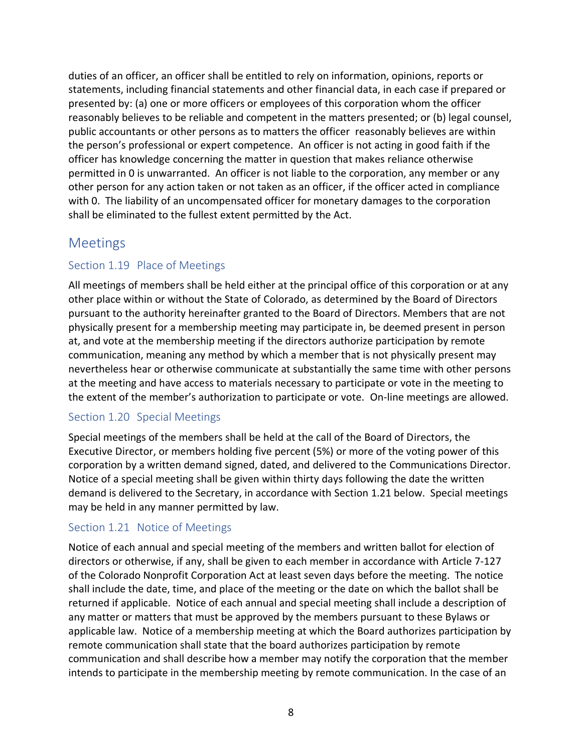duties of an officer, an officer shall be entitled to rely on information, opinions, reports or statements, including financial statements and other financial data, in each case if prepared or presented by: (a) one or more officers or employees of this corporation whom the officer reasonably believes to be reliable and competent in the matters presented; or (b) legal counsel, public accountants or other persons as to matters the officer reasonably believes are within the person's professional or expert competence. An officer is not acting in good faith if the officer has knowledge concerning the matter in question that makes reliance otherwise permitted in [0](#page-6-6) is unwarranted. An officer is not liable to the corporation, any member or any other person for any action taken or not taken as an officer, if the officer acted in compliance with [0.](#page-6-6) The liability of an uncompensated officer for monetary damages to the corporation shall be eliminated to the fullest extent permitted by the Act.

## <span id="page-7-0"></span>Meetings

## <span id="page-7-1"></span>Section 1.19 Place of Meetings

All meetings of members shall be held either at the principal office of this corporation or at any other place within or without the State of Colorado, as determined by the Board of Directors pursuant to the authority hereinafter granted to the Board of Directors. Members that are not physically present for a membership meeting may participate in, be deemed present in person at, and vote at the membership meeting if the directors authorize participation by remote communication, meaning any method by which a member that is not physically present may nevertheless hear or otherwise communicate at substantially the same time with other persons at the meeting and have access to materials necessary to participate or vote in the meeting to the extent of the member's authorization to participate or vote. On-line meetings are allowed.

## <span id="page-7-2"></span>Section 1.20 Special Meetings

Special meetings of the members shall be held at the call of the Board of Directors, the Executive Director, or members holding five percent (5%) or more of the voting power of this corporation by a written demand signed, dated, and delivered to the Communications Director. Notice of a special meeting shall be given within thirty days following the date the written demand is delivered to the Secretary, in accordance with [Section 1.21](#page-7-3) below. Special meetings may be held in any manner permitted by law.

## <span id="page-7-3"></span>Section 1.21 Notice of Meetings

Notice of each annual and special meeting of the members and written ballot for election of directors or otherwise, if any, shall be given to each member in accordance with Article 7-127 of the Colorado Nonprofit Corporation Act at least seven days before the meeting. The notice shall include the date, time, and place of the meeting or the date on which the ballot shall be returned if applicable. Notice of each annual and special meeting shall include a description of any matter or matters that must be approved by the members pursuant to these Bylaws or applicable law. Notice of a membership meeting at which the Board authorizes participation by remote communication shall state that the board authorizes participation by remote communication and shall describe how a member may notify the corporation that the member intends to participate in the membership meeting by remote communication. In the case of an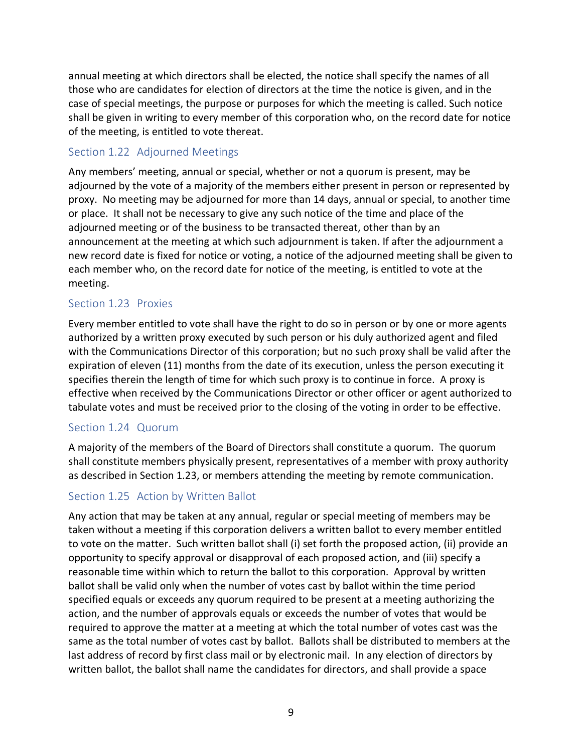annual meeting at which directors shall be elected, the notice shall specify the names of all those who are candidates for election of directors at the time the notice is given, and in the case of special meetings, the purpose or purposes for which the meeting is called. Such notice shall be given in writing to every member of this corporation who, on the record date for notice of the meeting, is entitled to vote thereat.

## <span id="page-8-0"></span>Section 1.22 Adjourned Meetings

Any members' meeting, annual or special, whether or not a quorum is present, may be adjourned by the vote of a majority of the members either present in person or represented by proxy. No meeting may be adjourned for more than 14 days, annual or special, to another time or place. It shall not be necessary to give any such notice of the time and place of the adjourned meeting or of the business to be transacted thereat, other than by an announcement at the meeting at which such adjournment is taken. If after the adjournment a new record date is fixed for notice or voting, a notice of the adjourned meeting shall be given to each member who, on the record date for notice of the meeting, is entitled to vote at the meeting.

## <span id="page-8-1"></span>Section 1.23 Proxies

Every member entitled to vote shall have the right to do so in person or by one or more agents authorized by a written proxy executed by such person or his duly authorized agent and filed with the Communications Director of this corporation; but no such proxy shall be valid after the expiration of eleven (11) months from the date of its execution, unless the person executing it specifies therein the length of time for which such proxy is to continue in force. A proxy is effective when received by the Communications Director or other officer or agent authorized to tabulate votes and must be received prior to the closing of the voting in order to be effective.

## <span id="page-8-2"></span>Section 1.24 Quorum

A majority of the members of the Board of Directors shall constitute a quorum. The quorum shall constitute members physically present, representatives of a member with proxy authority as described in [Section 1.23,](#page-8-1) or members attending the meeting by remote communication.

## <span id="page-8-3"></span>Section 1.25 Action by Written Ballot

Any action that may be taken at any annual, regular or special meeting of members may be taken without a meeting if this corporation delivers a written ballot to every member entitled to vote on the matter. Such written ballot shall (i) set forth the proposed action, (ii) provide an opportunity to specify approval or disapproval of each proposed action, and (iii) specify a reasonable time within which to return the ballot to this corporation. Approval by written ballot shall be valid only when the number of votes cast by ballot within the time period specified equals or exceeds any quorum required to be present at a meeting authorizing the action, and the number of approvals equals or exceeds the number of votes that would be required to approve the matter at a meeting at which the total number of votes cast was the same as the total number of votes cast by ballot. Ballots shall be distributed to members at the last address of record by first class mail or by electronic mail. In any election of directors by written ballot, the ballot shall name the candidates for directors, and shall provide a space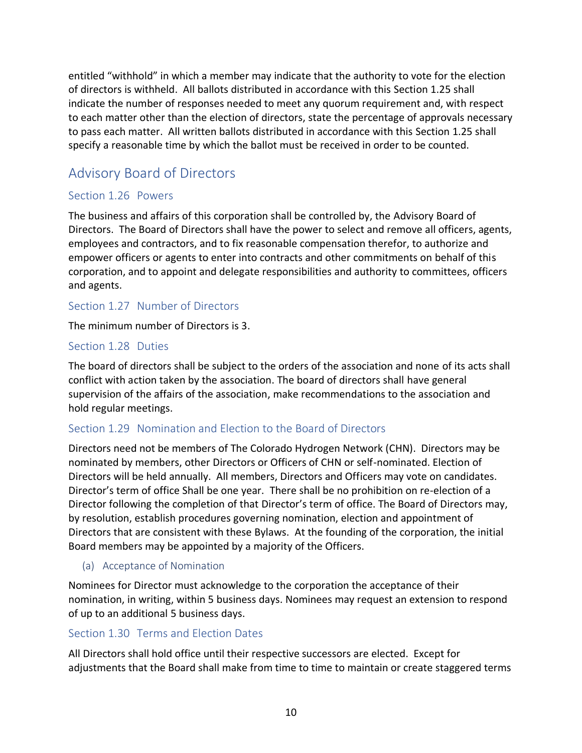entitled "withhold" in which a member may indicate that the authority to vote for the election of directors is withheld. All ballots distributed in accordance with this [Section 1.25](#page-8-3) shall indicate the number of responses needed to meet any quorum requirement and, with respect to each matter other than the election of directors, state the percentage of approvals necessary to pass each matter. All written ballots distributed in accordance with this [Section 1.25](#page-8-3) shall specify a reasonable time by which the ballot must be received in order to be counted.

# <span id="page-9-0"></span>Advisory Board of Directors

## <span id="page-9-1"></span>Section 1.26 Powers

The business and affairs of this corporation shall be controlled by, the Advisory Board of Directors. The Board of Directors shall have the power to select and remove all officers, agents, employees and contractors, and to fix reasonable compensation therefor, to authorize and empower officers or agents to enter into contracts and other commitments on behalf of this corporation, and to appoint and delegate responsibilities and authority to committees, officers and agents.

## <span id="page-9-2"></span>Section 1.27 Number of Directors

The minimum number of Directors is 3.

## <span id="page-9-3"></span>Section 1.28 Duties

The board of directors shall be subject to the orders of the association and none of its acts shall conflict with action taken by the association. The board of directors shall have general supervision of the affairs of the association, make recommendations to the association and hold regular meetings.

## <span id="page-9-4"></span>Section 1.29 Nomination and Election to the Board of Directors

Directors need not be members of The Colorado Hydrogen Network (CHN). Directors may be nominated by members, other Directors or Officers of CHN or self-nominated. Election of Directors will be held annually. All members, Directors and Officers may vote on candidates. Director's term of office Shall be one year. There shall be no prohibition on re-election of a Director following the completion of that Director's term of office. The Board of Directors may, by resolution, establish procedures governing nomination, election and appointment of Directors that are consistent with these Bylaws. At the founding of the corporation, the initial Board members may be appointed by a majority of the Officers.

## <span id="page-9-5"></span>(a) Acceptance of Nomination

Nominees for Director must acknowledge to the corporation the acceptance of their nomination, in writing, within 5 business days. Nominees may request an extension to respond of up to an additional 5 business days.

## <span id="page-9-6"></span>Section 1.30 Terms and Election Dates

All Directors shall hold office until their respective successors are elected. Except for adjustments that the Board shall make from time to time to maintain or create staggered terms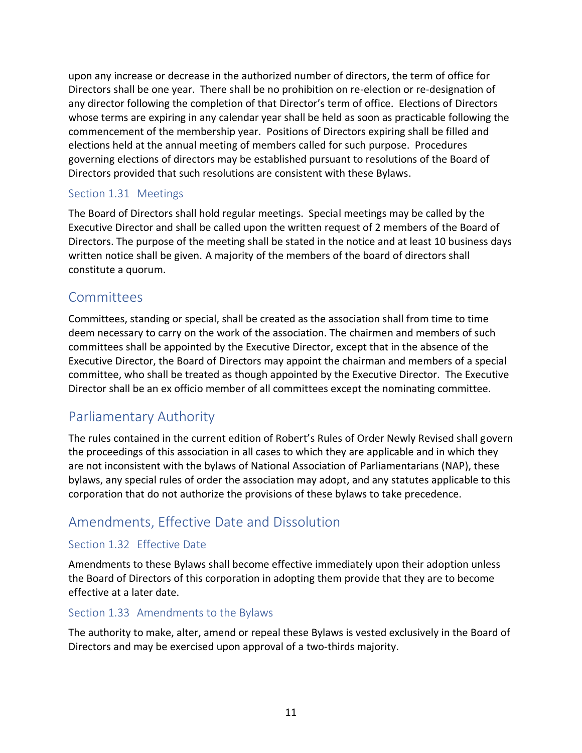upon any increase or decrease in the authorized number of directors, the term of office for Directors shall be one year. There shall be no prohibition on re-election or re-designation of any director following the completion of that Director's term of office. Elections of Directors whose terms are expiring in any calendar year shall be held as soon as practicable following the commencement of the membership year. Positions of Directors expiring shall be filled and elections held at the annual meeting of members called for such purpose. Procedures governing elections of directors may be established pursuant to resolutions of the Board of Directors provided that such resolutions are consistent with these Bylaws.

## <span id="page-10-0"></span>Section 1.31 Meetings

The Board of Directors shall hold regular meetings. Special meetings may be called by the Executive Director and shall be called upon the written request of 2 members of the Board of Directors. The purpose of the meeting shall be stated in the notice and at least 10 business days written notice shall be given. A majority of the members of the board of directors shall constitute a quorum.

## <span id="page-10-1"></span>**Committees**

Committees, standing or special, shall be created as the association shall from time to time deem necessary to carry on the work of the association. The chairmen and members of such committees shall be appointed by the Executive Director, except that in the absence of the Executive Director, the Board of Directors may appoint the chairman and members of a special committee, who shall be treated as though appointed by the Executive Director. The Executive Director shall be an ex officio member of all committees except the nominating committee.

# <span id="page-10-2"></span>Parliamentary Authority

The rules contained in the current edition of Robert's Rules of Order Newly Revised shall govern the proceedings of this association in all cases to which they are applicable and in which they are not inconsistent with the bylaws of National Association of Parliamentarians (NAP), these bylaws, any special rules of order the association may adopt, and any statutes applicable to this corporation that do not authorize the provisions of these bylaws to take precedence.

# <span id="page-10-3"></span>Amendments, Effective Date and Dissolution

## <span id="page-10-4"></span>Section 1.32 Effective Date

Amendments to these Bylaws shall become effective immediately upon their adoption unless the Board of Directors of this corporation in adopting them provide that they are to become effective at a later date.

## <span id="page-10-5"></span>Section 1.33 Amendments to the Bylaws

The authority to make, alter, amend or repeal these Bylaws is vested exclusively in the Board of Directors and may be exercised upon approval of a two-thirds majority.